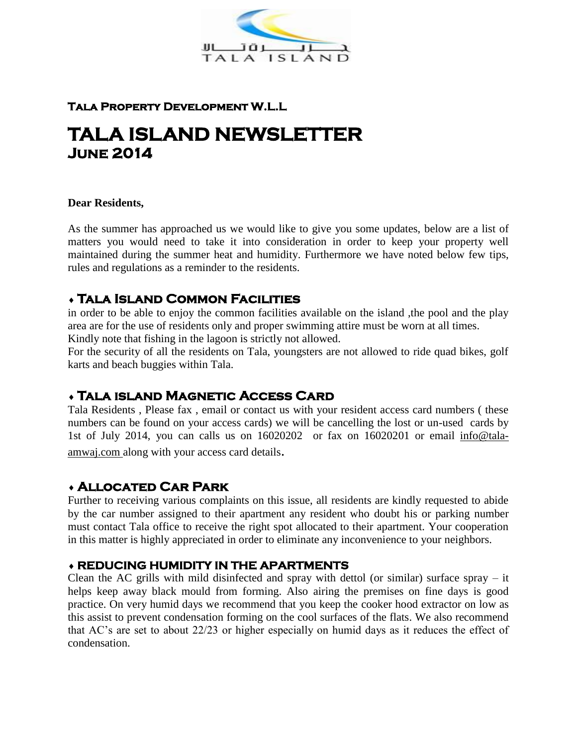

## **Tala Property Development W.L.L**

# **TALA ISLAND NEWSLETTER June 2014**

#### **Dear Residents,**

As the summer has approached us we would like to give you some updates, below are a list of matters you would need to take it into consideration in order to keep your property well maintained during the summer heat and humidity. Furthermore we have noted below few tips, rules and regulations as a reminder to the residents.

# **Tala Island Common Facilities**

in order to be able to enjoy the common facilities available on the island ,the pool and the play area are for the use of residents only and proper swimming attire must be worn at all times. Kindly note that fishing in the lagoon is strictly not allowed.

For the security of all the residents on Tala, youngsters are not allowed to ride quad bikes, golf karts and beach buggies within Tala.

# **Tala island Magnetic Access Card**

Tala Residents , Please fax , email or contact us with your resident access card numbers ( these numbers can be found on your access cards) we will be cancelling the lost or un-used cards by 1st of July 2014, you can calls us on 16020202 or fax on 16020201 or email info@talaamwaj.com along with your access card details.

# **Allocated Car Park**

Further to receiving various complaints on this issue, all residents are kindly requested to abide by the car number assigned to their apartment any resident who doubt his or parking number must contact Tala office to receive the right spot allocated to their apartment. Your cooperation in this matter is highly appreciated in order to eliminate any inconvenience to your neighbors.

## **REDUCING HUMIDITY IN THE APARTMENTS**

Clean the AC grills with mild disinfected and spray with dettol (or similar) surface spray – it helps keep away black mould from forming. Also airing the premises on fine days is good practice. On very humid days we recommend that you keep the cooker hood extractor on low as this assist to prevent condensation forming on the cool surfaces of the flats. We also recommend that AC's are set to about 22/23 or higher especially on humid days as it reduces the effect of condensation.